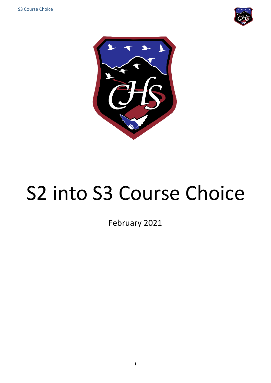



# S2 into S3 Course Choice

February 2021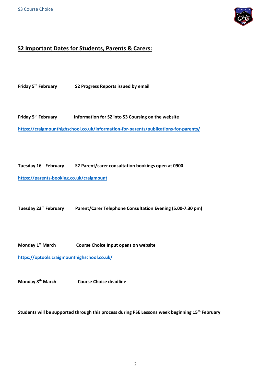

#### **S2 Important Dates for Students, Parents & Carers:**

Friday 5<sup>th</sup> February **S2 Progress Reports issued by email** 

**Friday 5 Information for S2 into S3 Coursing on the website <https://craigmounthighschool.co.uk/information-for-parents/publications-for-parents/>**

**Tuesday 16th February S2 Parent/carer consultation bookings open at 0900**

**<https://parents-booking.co.uk/craigmount>**

**Tuesday 23rd February Parent/Carer Telephone Consultation Evening (5.00-7.30 pm)** 

**Monday 1 Course Choice Input opens on website** 

**<https://optools.craigmounthighschool.co.uk/>**

**Monday 8th March Course Choice deadline**

**Students will be supported through this process during PSE Lessons week beginning 15th February**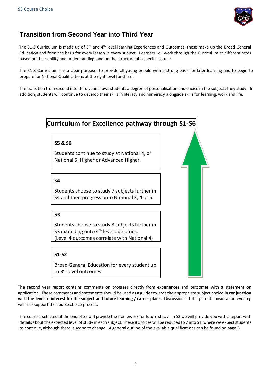

# **Transition from Second Year into Third Year**

The S1-3 Curriculum is made up of  $3^{rd}$  and  $4^{th}$  level learning Experiences and Outcomes, these make up the Broad General Education and form the basis for every lesson in every subject. Learners will work through the Curriculum at different rates based on their ability and understanding, and on the structure of a specific course.

The S1-3 Curriculum has a clear purpose: to provide all young people with a strong basis for later learning and to begin to prepare for National Qualifications at the right level for them.

The transition from second into third year allows students a degree of personalisation and choice in the subjects they study. In addition, students will continue to develop their skills in literacy and numeracy alongside skills for learning, work and life.



The second year report contains comments on progress directly from experiences and outcomes with a statement on application. These comments and statements should be used as a guide towards the appropriate subject choice **in conjunction with the level of interest for the subject and future learning / career plans.** Discussions at the parent consultation evening will also support the course choice process.

The courses selected at the end of S2 will provide the framework for future study. In S3 we will provide you with a report with details about the expected level of study in each subject. These 8 choices will be reduced to 7 into S4, where we expect students to continue, although there is scope to change. A general outline of the available qualifications can be found on page 5.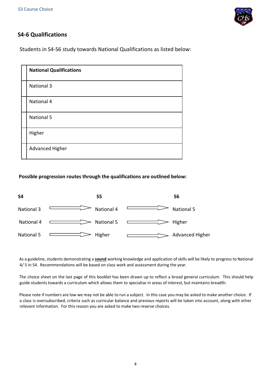

## **S4-6 Qualifications**

Students in S4-S6 study towards National Qualifications as listed below:

| <b>National Qualifications</b> |
|--------------------------------|
| <b>National 3</b>              |
| National 4                     |
| National 5                     |
| Higher                         |
| Advanced Higher                |

#### **Possible progression routes through the qualifications are outlined below:**



As a guideline, students demonstrating a **sound** working knowledge and application of skills will be likely to progress to National 4/ 5 in S4. Recommendations will be based on class work and assessment during the year.

The choice sheet on the last page of this booklet has been drawn up to reflect a broad general curriculum. This should help guide students towards a curriculum which allows them to specialise in areas of interest, but maintains breadth.

Please note if numbers are low we may not be able to run a subject. In this case you may be asked to make another choice. If a class is oversubscribed, criteria such as curricular balance and previous reports will be taken into account, along with other relevant information. For this reason you are asked to make two reserve choices.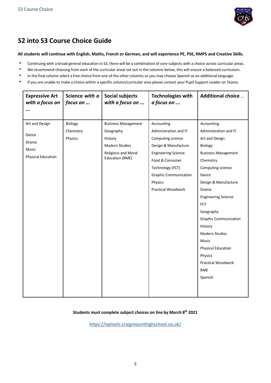

# **S2 into S3 Course Choice Guide**

#### **All students will continue with English, Maths, French or German, and will experience PE, PSE, RMPS and Creative Skills.**

- Continuing with a broad general education in S3, there will be a combination of core subjects with a choice across curricular areas.
- We recommend choosing from each of the curricular areas set out in the columns below, this will ensure a balanced curriculum.
- In the final column select a free choice from one of the other columns or you may choose Spanish as an additional language.
- If you are unable to make a choice within a specific column/curricular area please contact your Pupil Support Leader on Teams.

| <b>Expressive Art</b><br>with a focus on                               | Science with a<br>focus on      | <b>Social subjects</b><br>with a focus on                                                                             | <b>Technologies with</b><br>a focus on                                                                                                                                                                                 | <b>Additional choice </b>                                                                                                                                                                                                                                                                                                                                                                        |
|------------------------------------------------------------------------|---------------------------------|-----------------------------------------------------------------------------------------------------------------------|------------------------------------------------------------------------------------------------------------------------------------------------------------------------------------------------------------------------|--------------------------------------------------------------------------------------------------------------------------------------------------------------------------------------------------------------------------------------------------------------------------------------------------------------------------------------------------------------------------------------------------|
|                                                                        |                                 |                                                                                                                       |                                                                                                                                                                                                                        |                                                                                                                                                                                                                                                                                                                                                                                                  |
| Art and Design<br>Dance<br>Drama<br>Music<br><b>Physical Education</b> | Biology<br>Chemistry<br>Physics | <b>Business Management</b><br>Geography<br>History<br>Modern Studies<br>Religious and Moral<br><b>Education (RME)</b> | Accounting<br>Administration and IT<br>Computing science<br>Design & Manufacture<br><b>Engineering Science</b><br>Food & Consumer<br>Technology (FCT)<br><b>Graphic Communication</b><br>Physics<br>Practical Woodwork | Accounting<br>Administration and IT<br>Art and Design<br>Biology<br><b>Business Management</b><br>Chemistry<br>Computing science<br>Dance<br>Design & Manufacture<br>Drama<br><b>Engineering Science</b><br><b>FCT</b><br>Geography<br><b>Graphic Communication</b><br>History<br>Modern Studies<br>Music<br><b>Physical Education</b><br>Physics<br>Practical Woodwork<br><b>RME</b><br>Spanish |
|                                                                        |                                 |                                                                                                                       |                                                                                                                                                                                                                        |                                                                                                                                                                                                                                                                                                                                                                                                  |

#### **Students must complete subject choices on line by March 8 th 2021**

<https://optools.craigmounthighschool.co.uk/>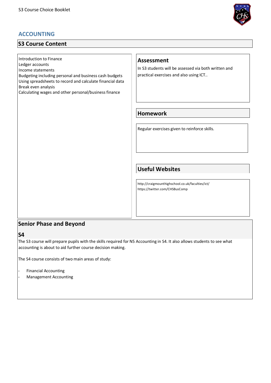# **ACCOUNTING**

# **S3 Course Content**

Introduction to Finance

Ledger accounts

Income statements

Budgeting including personal and business cash budgets Using spreadsheets to record and calculate financial data Break even analysis

Calculating wages and other personal/business finance



#### **Assessment**

In S3 students will be assessed via both written and practical exercises and also using ICT..

## **Homework**

Regular exercises given to reinforce skills.

## **Useful Websites**

http://craigmounthighschool.co.uk/faculties/ict/ https://twitter.com/CHSBusComp

## **Senior Phase and Beyond**

**S4** 

The S3 course will prepare pupils with the skills required for N5 Accounting in S4. It also allows students to see what accounting is about to aid further course decision making.

The S4 course consists of two main areas of study:

- Financial Accounting - Management Accounting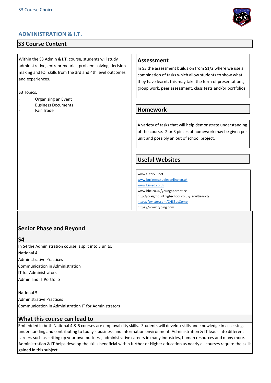

# **S3 Course Content**

Within the S3 Admin & I.T. course, students will study administrative, entrepreneurial, problem solving, decision making and ICT skills from the 3rd and 4th level outcomes and experiences.

S3 Topics:

- · Organising an Event
- **Business Documents** 
	- Fair Trade



In S3 the assessment builds on from S1/2 where we use a combination of tasks which allow students to show what they have learnt, this may take the form of presentations, group work, peer assessment, class tests and/or portfolios.

## **Homework**

A variety of tasks that will help demonstrate understanding of the course. 2 or 3 pieces of homework may be given per unit and possibly an out of school project.

# **Useful Websites**

www.tutor2u.net [www.businessstudiesonline.co.uk](http://www.businessstudiesonline.co.uk/) [www.biz-ed.co.uk](http://www.biz-ed.co.uk/) www.bbc.co.uk/youngapprentice http://craigmounthighschool.co.uk/faculties/ict/ <https://twitter.com/CHSBusComp> https://www.typing.com

# **Senior Phase and Beyond**

**S4** 

In S4 the Administration course is split into 3 units: National 4 Administrative Practices Communication in Administration IT for Administrators Admin and IT Portfolio

National 5 Administrative Practices Communication in Administration IT for Administrators

## **What this course can lead to**

Embedded in both National 4 & 5 courses are employability skills. Students will develop skills and knowledge in accessing, understanding and contributing to today's business and information environment. Administration & IT leads into different careers such as setting up your own business, administrative careers in many industries, human resources and many more. Administration & IT helps develop the skills beneficial within further or Higher education as nearly all courses require the skills gained in this subject.

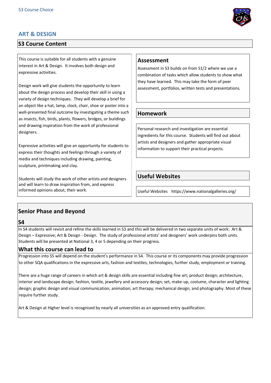## **ART & DESIGN**

# **S3 Course Content**

This course is suitable for all students with a genuine interest in Art & Design. It involves both design and expressive activities.

Design work will give students the opportunity to learn about the design process and develop their skill in using a variety of design techniques. They will develop a brief for an object like a hat, lamp, clock, chair, shoe or poster into a well-presented final outcome by investigating a theme such as insects, fish, birds, plants, flowers, bridges, or buildings and drawing inspiration from the work of professional designers.

Expressive activities will give an opportunity for students to express their thoughts and feelings through a variety of media and techniques including drawing, painting, sculpture, printmaking and clay.

Students will study the work of other artists and designers and will learn to draw inspiration from, and express informed opinions about, their work.

#### **Assessment**

Assessment in S3 builds on from S1/2 where we use a combination of tasks which allow students to show what they have learned. This may take the form of peer assessment, portfolios, written tests and presentations.

#### **Homework**

Personal research and investigation are essential ingredients for this course. Students will find out about artists and designers and gather appropriate visual information to support their practical projects.

## **Useful Websites**

Useful Websites https://www.nationalgalleries.org/

# **Senior Phase and Beyond**

#### **S4**

In S4 students will revisit and refine the skills learned in S3 and this will be delivered in two separate units of work: Art & Design – Expressive; Art & Design - Design. The study of professional artists' and designers' work underpins both units. Students will be presented at National 3, 4 or 5 depending on their progress.

#### **What this course can lead to**

Progression into S5 will depend on the student's performance in S4. This course or its components may provide progression to other SQA qualifications in the expressive arts, fashion and textiles, technologies, further study, employment or training.

There are a huge range of careers in which art & design skills are essential including fine art; product design; architecture, interior and landscape design; fashion, textile, jewellery and accessory design; set, make-up, costume, character and lighting design; graphic design and visual communication; animation; art therapy; mechanical design; and photography. Most of these require further study.

Art & Design at Higher level is recognised by nearly all universities as an approved entry qualification.

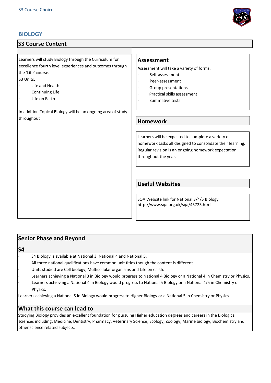# **BIOLOGY**

# **S3 Course Content**

Learners will study Biology through the Curriculum for excellence fourth level experiences and outcomes through the 'Life' course.

S3 Units:

- Life and Health
- Continuing Life
- Life on Earth

In addition Topical Biology will be an ongoing area of study throughout

#### **Assessment**

Assessment will take a variety of forms:

- Self-assessment
- Peer-assessment
- Group presentations
- Practical skills assessment
- Summative tests

#### **Homework**

Learners will be expected to complete a variety of homework tasks all designed to consolidate their learning. Regular revision is an ongoing homework expectation throughout the year.

## **Useful Websites**

SQA Website link for National 3/4/5 Biology http://www.sqa.org.uk/sqa/45723.html

#### **Senior Phase and Beyond**

**S4** 

- · S4 Biology is available at National 3, National 4 and National 5.
- All three national qualifications have common unit titles though the content is different.
- Units studied are Cell biology, Multicellular organisms and Life on earth.
- Learners achieving a National 3 in Biology would progress to National 4 Biology or a National 4 in Chemistry or Physics. Learners achieving a National 4 in Biology would progress to National 5 Biology or a National 4/5 in Chemistry or Physics.

Learners achieving a National 5 in Biology would progress to Higher Biology or a National 5 in Chemistry or Physics.

## **What this course can lead to**

Studying Biology provides an excellent foundation for pursuing Higher education degrees and careers in the Biological sciences including, Medicine, Dentistry, Pharmacy, Veterinary Science, Ecology, Zoology, Marine biology, Biochemistry and other science related subjects.

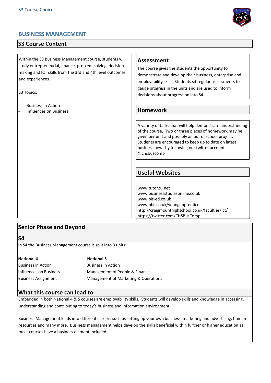## **BUSINESS MANAGEMENT**

## **S3 Course Content**

Within the S3 Business Management course, students will study entrepreneurial, finance, problem solving, decision making and ICT skills from the 3rd and 4th level outcomes and experiences.

S3 Topics:

**Business in Action** - Influences on Business

#### **Assessment**

The course gives the students the opportunity to demonstrate and develop their business, enterprise and employability skills. Students sit regular assessments to gauge progress in the units and are used to inform decisions about progression into S4.

#### **Homework**

A variety of tasks that will help demonstrate understanding of the course. Two or three pieces of homework may be given per unit and possibly an out of school project. Students are encouraged to keep up to date on latest business news by following our twitter account @chsbuscomp

#### **Useful Websites**

www.tutor2u.net www.businessstudiesonline.co.uk www.biz-ed.co.uk www.bbc.co.uk/youngapprentice http://craigmounthighschool.co.uk/faculties/ict/ https://twitter.com/CHSBusComp

## **Senior Phase and Beyond**

**S4** 

In S4 the Business Management course is split into 3 units:

| <b>National 4</b>          | <b>National 5</b>                    |
|----------------------------|--------------------------------------|
| <b>Business in Action</b>  | <b>Business in Action</b>            |
| Influences on Business     | Management of People & Finance       |
| <b>Business Assignment</b> | Management of Marketing & Operations |

#### **What this course can lead to**

Embedded in both National 4 & 5 courses are employability skills. Students will develop skills and knowledge in accessing, understanding and contributing to today's business and information environment.

Business Management leads into different careers such as setting up your own business, marketing and advertising, human resources and many more. Business management helps develop the skills beneficial within further or higher education as most courses have a business element included.

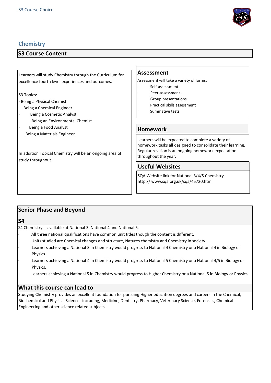

# **Chemistry**

# **S3 Course Content**

| Being a Materials Engineer<br>In addition Topical Chemistry will be an ongoing area of | Learners will be expected to complete a variety of<br>homework tasks all designed to consolidate their learning.<br>Regular revision is an ongoing homework expectation<br>throughout the year. |
|----------------------------------------------------------------------------------------|-------------------------------------------------------------------------------------------------------------------------------------------------------------------------------------------------|
| study throughout.                                                                      | <b>Useful Websites</b><br>SQA Website link for National 3/4/5 Chemistry<br>http:// www.sqa.org.uk/sqa/45720.html                                                                                |

| <b>Senior Phase and Beyond</b> |                                                                                                                     |  |  |  |
|--------------------------------|---------------------------------------------------------------------------------------------------------------------|--|--|--|
| $\mathsf{S}4$                  |                                                                                                                     |  |  |  |
|                                | S4 Chemistry is available at National 3, National 4 and National 5.                                                 |  |  |  |
|                                | All three national qualifications have common unit titles though the content is different.                          |  |  |  |
|                                | Units studied are Chemical changes and structure, Natures chemistry and Chemistry in society.                       |  |  |  |
|                                | Learners achieving a National 3 in Chemistry would progress to National 4 Chemistry or a National 4 in Biology or   |  |  |  |
|                                | Physics.                                                                                                            |  |  |  |
|                                | Learners achieving a National 4 in Chemistry would progress to National 5 Chemistry or a National 4/5 in Biology or |  |  |  |
|                                | Physics.                                                                                                            |  |  |  |

Learners achieving a National 5 in Chemistry would progress to Higher Chemistry or a National 5 in Biology or Physics.

# **What this course can lead to**

Studying Chemistry provides an excellent foundation for pursuing Higher education degrees and careers in the Chemical, Biochemical and Physical Sciences including, Medicine, Dentistry, Pharmacy, Veterinary Science, Forensics, Chemical Engineering and other science related subjects.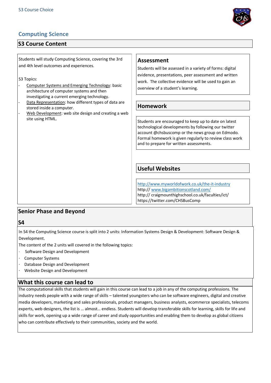# **Computing Science**

## **S3 Course Content**

Students will study Computing Science, covering the 3rd and 4th level outcomes and experiences.

S3 Topics:

- Computer Systems and Emerging Technology: basic architecture of computer systems and then investigating a current emerging technology.
- Data Representation: how different types of data are stored inside a computer.
- Web Development: web site design and creating a web site using HTML.

#### **Assessment**

Students will be assessed in a variety of forms: digital evidence, presentations, peer assessment and written work. The collective evidence will be used to gain an overview of a student's learning.

## **Homework**

Students are encouraged to keep up to date on latest technological developments by following our twitter account @chsbuscomp or the news group on Edmodo. Formal homework is given regularly to review class work and to prepare for written assessments.

# **Useful Websites**

<http://www.myworldofwork.co.uk/the-it-industry> http:// [www.bigambitionscotland.com/](http://www.bigambitionscotland.com/) http:// craigmounthighschool.co.uk/faculties/ict/ https://twitter.com/CHSBusComp

## **Senior Phase and Beyond**

#### **S4**

In S4 the Computing Science course is split into 2 units: Information Systems Design & Development: Software Design & Development.

The content of the 2 units will covered in the following topics:

- · Software Design and Development
- Computer Systems
- Database Design and Development
- Website Design and Development

#### **What this course can lead to**

The computational skills that students will gain in this course can lead to a job in any of the computing professions. The industry needs people with a wide range of skills – talented youngsters who can be software engineers, digital and creative media developers, marketing and sales professionals, product managers, business analysts, ecommerce specialists, telecoms experts, web designers, the list is … almost… endless. Students will develop transferable skills for learning, skills for life and skills for work, opening up a wide range of career and study opportunities and enabling them to develop as global citizens who can contribute effectively to their communities, society and the world.

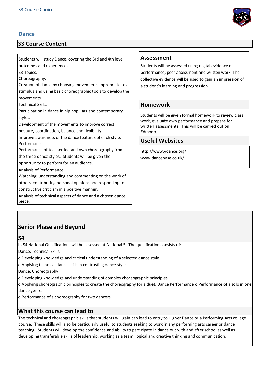## **Dance**

# **S3 Course Content**

Students will study Dance, covering the 3rd and 4th level outcomes and experiences.

S3 Topics:

Choreography:

Creation of dance by choosing movements appropriate to a stimulus and using basic choreographic tools to develop the movements.

Technical Skills:

Participation in dance in hip hop, jazz and contemporary styles.

Development of the movements to improve correct posture, coordination, balance and flexibility.

Improve awareness of the dance features of each style. Performance:

Performance of teacher-led and own choreography from the three dance styles. Students will be given the

opportunity to perform for an audience.

Analysis of Performance:

Watching, understanding and commenting on the work of others, contributing personal opinions and responding to constructive criticism in a positive manner.

Analysis of technical aspects of dance and a chosen dance piece.

## **Assessment**

Students will be assessed using digital evidence of performance, peer assessment and written work. The collective evidence will be used to gain an impression of a student's learning and progression.

# **Homework**

Students will be given formal homework to review class work, evaluate own performance and prepare for written assessments. This will be carried out on Edmodo.

## **Useful Websites**

http://www.ydance.org/ www.dancebase.co.uk/

# **Senior Phase and Beyond**

## **S4**

In S4 National Qualifications will be assessed at National 5. The qualification consists of:

Dance: Technical Skills

- o Developing knowledge and critical understanding of a selected dance style.
- o Applying technical dance skills in contrasting dance styles.

Dance: Choreography

o Developing knowledge and understanding of complex choreographic principles.

o Applying choreographic principles to create the choreography for a duet. Dance Performance o Performance of a solo in one dance genre.

o Performance of a choreography for two dancers.

## **What this course can lead to**

The technical and choreographic skills that students will gain can lead to entry to Higher Dance or a Performing Arts college course. These skills will also be particularly useful to students seeking to work in any performing arts career or dance teaching. Students will develop the confidence and ability to participate in dance out with and after school as well as developing transferable skills of leadership, working as a team, logical and creative thinking and communication.

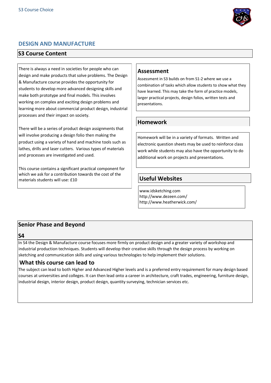

## **DESIGN AND MANUFACTURE**

#### **S3 Course Content**

There is always a need in societies for people who can design and make products that solve problems. The Design & Manufacture course provides the opportunity for students to develop more advanced designing skills and make both prototype and final models. This involves working on complex and exciting design problems and learning more about commercial product design, industrial processes and their impact on society.

There will be a series of product design assignments that will involve producing a design folio then making the product using a variety of hand and machine tools such as lathes, drills and laser cutters. Various types of materials and processes are investigated and used.

This course contains a significant practical component for which we ask for a contribution towards the cost of the materials students will use: £10

## **Assessment**

Assessment in S3 builds on from S1-2 where we use a combination of tasks which allow students to show what they have learned. This may take the form of practice models, larger practical projects, design folios, written tests and presentations.

## **Homework**

Homework will be in a variety of formats. Written and electronic question sheets may be used to reinforce class work while students may also have the opportunity to do additional work on projects and presentations.

# **Useful Websites**

www.idsketching.com http://www.dezeen.com/ http://www.heatherwick.com/

# **Senior Phase and Beyond**

**S4** 

In S4 the Design & Manufacture course focuses more firmly on product design and a greater variety of workshop and industrial production techniques. Students will develop their creative skills through the design process by working on sketching and communication skills and using various technologies to help implement their solutions.

## **What this course can lead to**

The subject can lead to both Higher and Advanced Higher levels and is a preferred entry requirement for many design based courses at universities and colleges. It can then lead onto a career in architecture, craft trades, engineering, furniture design, industrial design, interior design, product design, quantity surveying, technician services etc.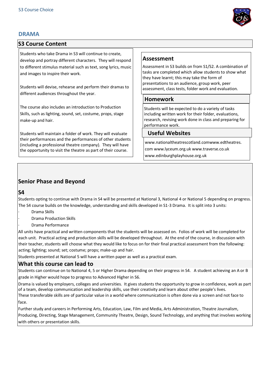## **DRAMA**



## **S3 Course Content**

Students who take Drama in S3 will continue to create, develop and portray different characters. They will respond to different stimulus material such as text, song lyrics, music and images to inspire their work.

Students will devise, rehearse and perform their dramas to different audiences throughout the year.

The course also includes an introduction to Production Skills, such as lighting, sound, set, costume, props, stage make-up and hair.

Students will maintain a folder of work. They will evaluate their performances and the performances of other students (including a professional theatre company). They will have the opportunity to visit the theatre as part of their course.

## **Assessment**

Assessment in S3 builds on from S1/S2. A combination of tasks are completed which allow students to show what they have learnt; this may take the form of presentations to an audience, group work, peer assessment, class tests, folder work and evaluation.

#### **Homework**

Students will be expected to do a variety of tasks including written work for their folder, evaluations, research, revising work done in class and preparing for performance work.

#### **Useful Websites**

www.nationaltheatrescotland.comwww.edtheatres. com www.lyceum.org.uk www.traverse.co.uk www.edinburghplayhouse.org.uk

## **Senior Phase and Beyond**

#### **S4**

Students opting to continue with Drama in S4 will be presented at National 3, National 4 or National 5 depending on progress. The S4 course builds on the knowledge, understanding and skills developed in S1-3 Drama. It is split into 3 units:

- · Drama Skills
- · Drama Production Skills
- · Drama Performance

All units have practical and written components that the students will be assessed on. Folios of work will be completed for each unit. Practical acting and production skills will be developed throughout. At the end of the course, in discussion with their teacher, students will choose what they would like to focus on for their final practical assessment from the following: acting; lighting; sound; set; costume; props; make-up and hair.

Students presented at National 5 will have a written paper as well as a practical exam.

## **What this course can lead to**

Students can continue on to National 4, 5 or Higher Drama depending on their progress in S4. A student achieving an A or B grade in Higher would hope to progress to Advanced Higher in S6.

Drama is valued by employers, colleges and universities. It gives students the opportunity to grow in confidence, work as part of a team, develop communication and leadership skills, use their creativity and learn about other people's lives.

These transferable skills are of particular value in a world where communication is often done via a screen and not face to face.

Further study and careers in Performing Arts, Education, Law, Film and Media, Arts Administration, Theatre Journalism, Producing, Directing, Stage Management, Community Theatre, Design, Sound Technology, and anything that involves working with others or presentation skills.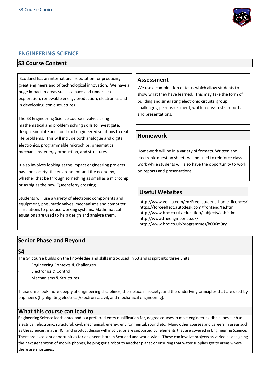

## **ENGINEERING SCIENCE**

## **S3 Course Content**

Scotland has an international reputation for producing great engineers and of technological innovation. We have a huge impact in areas such as space and under-sea exploration, renewable energy production, electronics and in developing iconic structures.

The S3 Engineering Science course involves using mathematical and problem solving skills to investigate, design, simulate and construct engineered solutions to real life problems. This will include both analogue and digital electronics, programmable microchips, pneumatics, mechanisms, energy production, and structures.

It also involves looking at the impact engineering projects have on society, the environment and the economy, whether that be through something as small as a microchip or as big as the new Queensferry crossing.

Students will use a variety of electronic components and equipment, pneumatic valves, mechanisms and computer simulations to produce working systems. Mathematical equations are used to help design and analyse them.

#### **Assessment**

We use a combination of tasks which allow students to show what they have learned. This may take the form of building and simulating electronic circuits, group challenges, peer assessment, written class tests, reports and presentations.

## **Homework**

Homework will be in a variety of formats. Written and electronic question sheets will be used to reinforce class work while students will also have the opportunity to work on reports and presentations.

# **Useful Websites**

http://www.yenka.com/en/Free\_student\_home\_licences/ https://forceeffect.autodesk.com/frontend/fe.html http://www.bbc.co.uk/education/subjects/zphfcdm http://www.theengineer.co.uk/ http://www.bbc.co.uk/programmes/b006m9ry

## **Senior Phase and Beyond**

#### **S4**

The S4 course builds on the knowledge and skills introduced in S3 and is spilt into three units:

- · Engineering Contexts & Challenges
- Electronics & Control
	- · Mechanisms & Structures

These units look more deeply at engineering disciplines, their place in society, and the underlying principles that are used by engineers (highlighting electrical/electronic, civil, and mechanical engineering).

## **What this course can lead to**

Engineering Science leads onto, and is a preferred entry qualification for, degree courses in most engineering disciplines such as electrical, electronic, structural, civil, mechanical, energy, environmental, sound etc. Many other courses and careers in areas such as the sciences, maths, ICT and product design will involve, or are supported by, elements that are covered in Engineering Science. There are excellent opportunities for engineers both in Scotland and world-wide. These can involve projects as varied as designing the next generation of mobile phones, helping get a robot to another planet or ensuring that water supplies get to areas where there are shortages.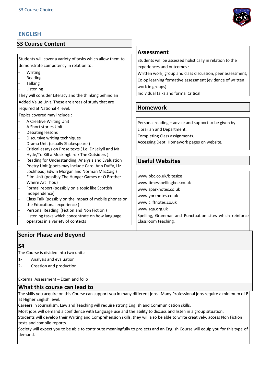# **ENGLISH**

## **S3 Course Content**

Students will cover a variety of tasks which allow them to demonstrate competency in relation to:

- **Writing**
- **Reading**
- **Talking**
- **Listening**

They will consider Literacy and the thinking behind an Added Value Unit. These are areas of study that are required at National 4 level.

Topics covered may include :

- A Creative Writing Unit
- A Short stories Unit
- Debating lessons
- Discursive writing techniques
- Drama Unit (usually Shakespeare)
- Critical essays on Prose texts ( i.e. Dr Jekyll and Mr Hyde/To Kill a Mockingbird / The Outsiders )
- Reading for Understanding, Analysis and Evaluation Poetry Unit (poets may include Carol Ann Duffy, Liz
- Lochhead, Edwin Morgan and Norman MacCaig ) Film Unit (possibly The Hunger Games or O Brother Where Art Thou)
- Formal report (possibly on a topic like Scottish Independence)
- Class Talk (possibly on the impact of mobile phones on the Educational experience )
- Personal Reading (Fiction and Non Fiction)
- Listening tasks which concentrate on how language operates in a variety of contexts

## **Senior Phase and Beyond**

## **S4**

The Course is divided into two units:

- 1- Analysis and evaluation
- 2- Creation and production

External Assessment – Exam and folio

## **What this course can lead to**

The skills you acquire on this Course can support you in many different jobs. Many Professional jobs require a minimum of B at Higher English level.

Careers in Journalism, Law and Teaching will require strong English and Communication skills.

Most jobs will demand a confidence with Language use and the ability to discuss and listen in a group situation.

Students will develop their Writing and Comprehension skills, they will also be able to write creatively, access Non Fiction texts and compile reports.

Society will expect you to be able to contribute meaningfully to projects and an English Course will equip you for this type of demand.

# **Assessment**

Students will be assessed holistically in relation to the experiences and outcomes :

Written work, group and class discussion, peer assessment, Co op learning formative assessment (evidence of written work in groups).

Individual talks and formal Critical

## **Homework**

Personal reading – advice and support to be given by

Librarian and Department.

Completing Class assignments.

Accessing Dept. Homework pages on website.

# **Useful Websites**

www.bbc.co.uk/bitesize

www.timesspellingbee.co.uk

www.sparknotes.co.uk

www.yorknotes.co.uk www.cliffnotes.co.uk

www.sqa.org.uk

Spelling, Grammar and Punctuation sites which reinforce Classroom teaching.

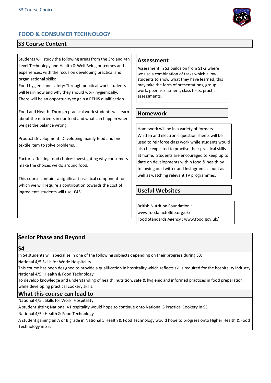

# **FOOD & CONSUMER TECHNOLOGY**

# **S3 Course Content**

Students will study the following areas from the 3rd and 4th Level Technology and Health & Well Being outcomes and experiences, with the focus on developing practical and organisational skills:

Food hygiene and safety: Through practical work students will learn how and why they should work hygienically. There will be an opportunity to gain a REHIS qualification.

Food and Health: Through practical work students will learn about the nutrients in our food and what can happen when we get the balance wrong.

Product Development: Developing mainly food and one textile item to solve problems.

Factors affecting food choice: Investigating why consumers make the choices we do around food.

This course contains a significant practical component for which we will require a contribution towards the cost of ingredients students will use: £45

#### **Assessment**

Assessment in S3 builds on from S1-2 where we use a combination of tasks which allow students to show what they have learned, this may take the form of presentations, group work, peer assessment, class tests, practical assessments.

## **Homework**

Homework will be in a variety of formats. Written and electronic question sheets will be used to reinforce class work while students would also be expected to practise their practical skills at home. Students are encouraged to keep up to date on developments within food & health by following our twitter and Instagram account as well as watching relevant TV programmes.

# **Useful Websites**

British Nutrition Foundation : www.foodafactoflife.org.uk/ Food Standards Agency : www.food.gov.uk/

## **Senior Phase and Beyond**

## **S4**

In S4 students will specialise in one of the following subjects depending on their progress during S3:

National 4/5 Skills for Work: Hospitality

This course has been designed to provide a qualification in hospitality which reflects skills required for the hospitality industry. National 4/5 : Health & Food Technology

To develop knowledge and understanding of health, nutrition, safe & hygienic and informed practices in food preparation while developing practical cookery skills.

#### **What this course can lead to**

National 4/5 : Skills for Work: Hospitality

A student sitting National 4 Hospitality would hope to continue onto National 5 Practical Cookery in S5.

National 4/5 : Health & Food Technology

A student gaining an A or B grade in National 5 Health & Food Technology would hope to progress onto Higher Health & Food Technology in S5.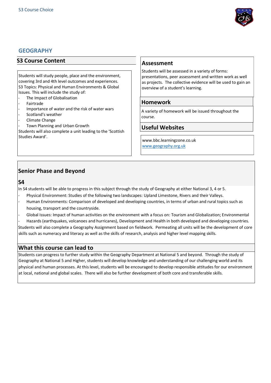

#### **GEOGRAPHY**

#### **S3 Course Content**

Students will study people, place and the environment, covering 3rd and 4th level outcomes and experiences. S3 Topics: Physical and Human Environments & Global Issues. This will include the study of:

- The Impact of Globalisation
- Fairtrade
- Importance of water and the risk of water wars
- Scotland's weather
- Climate Change
- Town Planning and Urban Growth

Students will also complete a unit leading to the 'Scottish Studies Award'.

#### **Assessment**

Students will be assessed in a variety of forms: presentations, peer assessment and written work as well as projects. The collective evidence will be used to gain an overview of a student's learning.

#### **Homework**

A variety of homework will be issued throughout the course.

#### **Useful Websites**

www.bbc.learningzone.co.uk [www.geography.org.uk](http://www.geography.org.uk/)

## **Senior Phase and Beyond**

#### **S4**

In S4 students will be able to progress in this subject through the study of Geography at either National 3, 4 or 5.

- Physical Environment: Studies of the following two landscapes: Upland Limestone, Rivers and their Valleys.
- Human Environments: Comparison of developed and developing countries, in terms of urban and rural topics such as housing, transport and the countryside.
- Global Issues: Impact of human activities on the environment with a focus on: Tourism and Globalization; Environmental
- Hazards (earthquakes, volcanoes and hurricanes), Development and Health in both developed and developing countries.

Students will also complete a Geography Assignment based on fieldwork. Permeating all units will be the development of core skills such as numeracy and literacy as well as the skills of research, analysis and higher level mapping skills.

#### **What this course can lead to**

Students can progress to further study within the Geography Department at National 5 and beyond. Through the study of Geography at National 5 and Higher, students will develop knowledge and understanding of our challenging world and its physical and human processes. At this level, students will be encouraged to develop responsible attitudes for our environment at local, national and global scales. There will also be further development of both core and transferable skills.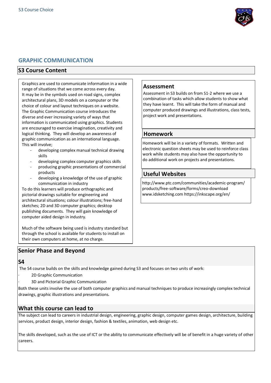

## **GRAPHIC COMMUNICATION**

## **S3 Course Content**

Graphics are used to communicate information in a wide range of situations that we come across every day. It may be in the symbols used on road signs, complex architectural plans, 3D models on a computer or the choice of colour and layout techniques on a website. The Graphic Communication course introduces the diverse and ever increasing variety of ways that information is communicated using graphics. Students are encouraged to exercise imagination, creativity and logical thinking. They will develop an awareness of graphic communication as an international language. This will involve;

- developing complex manual technical drawing skills
- developing complex computer graphics skills
- producing graphic presentations of commercial products
- developing a knowledge of the use of graphic communication in industry

To do this learners will produce orthographic and pictorial drawings suitable for engineering and architectural situations; colour illustrations; free-hand sketches; 2D and 3D computer graphics; desktop publishing documents. They will gain knowledge of computer aided design in industry.

Much of the software being used is industry standard but through the school is available for students to install on their own computers at home, at no charge.

# **Senior Phase and Beyond**

#### **S4**

The S4 course builds on the skills and knowledge gained during S3 and focuses on two units of work:

- 2D Graphic Communication
- · 3D and Pictorial Graphic Communication

Both these units involve the use of both computer graphics and manual techniques to produce increasingly complex technical drawings, graphic illustrations and presentations.

## **What this course can lead to**

The subject can lead to careers in industrial design, engineering, graphic design, computer games design, architecture, building services, product design, interior design, fashion & textiles, animation, web design etc.

The skills developed, such as the use of ICT or the ability to communicate effectively will be of benefit in a huge variety of other careers.

#### **Assessment**

Assessment in S3 builds on from S1-2 where we use a combination of tasks which allow students to show what they have learnt. This will take the form of manual and computer produced drawings and illustrations, class tests, project work and presentations.

#### **Homework**

Homework will be in a variety of formats. Written and electronic question sheets may be used to reinforce class work while students may also have the opportunity to do additional work on projects and presentations.

## **Useful Websites**

http://www.ptc.com/communities/academic-program/ products/free-software/forms/creo-download www.idsketching.com https://inkscape.org/en/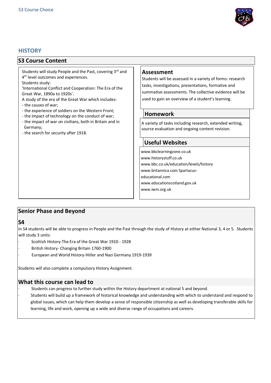

#### **HISTORY**

#### **S3 Course Content**

Students will study People and the Past, covering 3rd and 4<sup>th</sup> level outcomes and experiences.

Students study:

'International Conflict and Cooperation: The Era of the Great War, 1890a to 1920s'.

A study of the era of the Great War which includes:

- the causes of war;
- the experience of soldiers on the Western Front;
- the impact of technology on the conduct of war;
- the impact of war on civilians, both in Britain and in Germany;
- the search for security after 1918.

#### **Assessment**

Students will be assessed in a variety of forms: research tasks, investigations, presentations, formative and summative assessments. The collective evidence will be used to gain an overview of a student's learning.

#### **Homework**

A variety of tasks including research, extended writing, source evaluation and ongoing content revision.

## **Useful Websites**

www.bbclearningzone.co.uk www.historystuff.co.uk www.bbc.co.uk/education/levels/history www.britannica.com Spartacuseducational.com www.educationscotland.gov.uk www.iwm.org.uk

# **Senior Phase and Beyond**

#### **S4**

In S4 students will be able to progress in People and the Past through the study of History at either National 3, 4 or 5. Students (in the students of the Students of the Students of the Students of the Students of the Stu will study 3 units:

- ence you we have the Unit of the Great War 1910 1928
- examinately, the end of the state that all provided in the state of the state of the state of the state of the state of the state of the state of the state of the state of the state of the state of the state of the state o British mstory Changing British
- European and World History-Hitler and Nazi Germany 1919-1939

Students will also complete a compulsory History Assignment.

## **What this course can lead to**

· Students can progress to further study within the History department at national 5 and beyond.

Students will build up a framework of historical knowledge and understanding with which to understand and respond to global issues, which can help them develop a sense of responsible citizenship as well as developing transferable skills for learning, life and work, opening up a wide and diverse range of occupations and careers.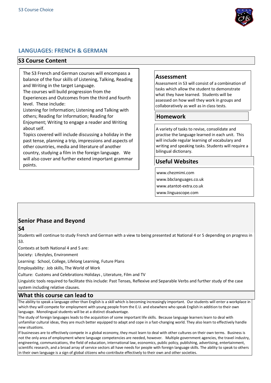

## **LANGUAGES: FRENCH & GERMAN**

#### **S3 Course Content**

The S3 French and German courses will encompass a balance of the four skills of Listening, Talking, Reading and Writing in the target Language.

The courses will build progression from the Experiences and Outcomes from the third and fourth level. These include:

Listening for Information; Listening and Talking with others; Reading for Information; Reading for Enjoyment; Writing to engage a reader and Writing about self.

Topics covered will include discussing a holiday in the past tense, planning a trip, impressions and aspects of other countries, media and literature of another country, studying a film in the foreign language. We will also cover and further extend important grammar points.

#### **Assessment**

Assessment in S3 will consist of a combination of tasks which allow the student to demonstrate what they have learned. Students will be assessed on how well they work in groups and collaboratively as well as in class tests.

## **Homework**

A variety of tasks to revise, consolidate and practise the language learned in each unit. This will include regular learning of vocabulary and writing and speaking tasks. Students will require a bilingual dictionary.

## **Useful Websites**

www.chezmimi.com www.bbclanguages.co.uk www.atantot-extra.co.uk www.linguascope.com

# **Senior Phase and Beyond**

Students will continue to study French and German with a view to being presented at National 4 or 5 depending on progress in  $52$ 

Contexts at both National 4 and 5 are:

Society: Lifestyles, Environment

Learning: School, College, Lifelong Learning, Future Plans

Employability: Job skills, The World of Work

Culture: Customs and Celebrations Holidays , Literature, Film and TV

Linguistic tools required to facilitate this include: Past Tenses, Reflexive and Separable Verbs and further study of the case system including relative clauses.

#### **What this course can lead to**

The ability to speak a language other than English is a skill which is becoming increasingly important. Our students will enter a workplace in which they will compete for employment with young people from the E.U. and elsewhere who speak English in addition to their own language. Monolingual students will be at a distinct disadvantage.

The study of foreign languages leads to the acquisition of some important life skills. Because language learners learn to deal with unfamiliar cultural ideas, they are much better equipped to adapt and cope in a fast-changing world. They also learn to effectively handle new situations.

If businesses are to effectively compete in a global economy, they must learn to deal with other cultures on their own terms. Business is not the only area of employment where language competencies are needed, however. Multiple government agencies, the travel industry, engineering, communications, the field of education, international law, economics, public policy, publishing, advertising, entertainment, scientific research, and a broad array of service sectors all have needs for people with foreign language skills. The ability to speak to others in their own language is a sign of global citizens who contribute effectively to their own and other societies.

**S4**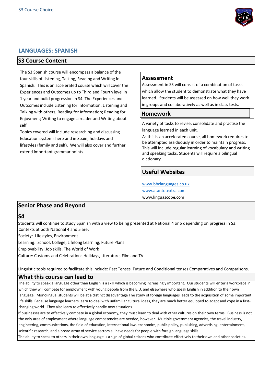

#### **LANGUAGES: SPANISH**

#### **S3 Course Content**

The S3 Spanish course will encompass a balance of the four skills of Listening, Talking, Reading and Writing in Spanish. This is an accelerated course which will cover the Experiences and Outcomes up to Third and Fourth level in 1 year and build progression in S4. The Experiences and Outcomes include Listening for Information; Listening and Talking with others; Reading for Information; Reading for Enjoyment; Writing to engage a reader and Writing about self.

Topics covered will include researching and discussing Education systems here and in Spain, holidays and lifestyles (family and self). We will also cover and further extend important grammar points.

#### **Assessment**

Assessment in S3 will consist of a combination of tasks which allow the student to demonstrate what they have learned. Students will be assessed on how well they work in groups and collaboratively as well as in class tests.

#### **Homework**

A variety of tasks to revise, consolidate and practise the language learned in each unit.

As this is an accelerated course, all homework requires to be attempted assiduously in order to maintain progress. This will include regular learning of vocabulary and writing and speaking tasks. Students will require a bilingual dictionary.

#### **Useful Websites**

[www.bbclanguages.co.uk](http://www.bbclanguages.co.uk/) [www.atantotextra.com](http://www.atantotextra.com/) www.linguascope.com

#### **Senior Phase and Beyond**

**S4** 

Students will continue to study Spanish with a view to being presented at National 4 or 5 depending on progress in S3. Contexts at both National 4 and 5 are:

Society: Lifestyles, Environment

Learning: School, College, Lifelong Learning, Future Plans

Employability: Job skills, The World of Work

Culture: Customs and Celebrations Holidays, Literature, Film and TV

Linguistic tools required to facilitate this include: Past Tenses, Future and Conditional tenses Comparatives and Comparisons.

#### **What this course can lead to**

The ability to speak a language other than English is a skill which is becoming increasingly important. Our students will enter a workplace in which they will compete for employment with young people from the E.U. and elsewhere who speak English in addition to their own language. Monolingual students will be at a distinct disadvantage The study of foreign languages leads to the acquisition of some important life skills. Because language learners learn to deal with unfamiliar cultural ideas, they are much better equipped to adapt and cope in a fastchanging world. They also learn to effectively handle new situations.

If businesses are to effectively compete in a global economy, they must learn to deal with other cultures on their own terms. Business is not the only area of employment where language competencies are needed, however. Multiple government agencies, the travel industry, engineering, communications, the field of education, international law, economics, public policy, publishing, advertising, entertainment, scientific research, and a broad array of service sectors all have needs for people with foreign language skills.

The ability to speak to others in their own language is a sign of global citizens who contribute effectively to their own and other societies.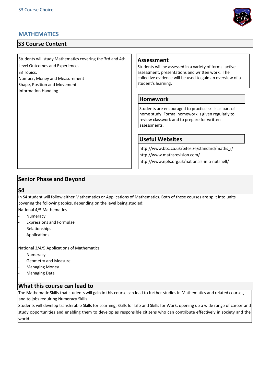# **MATHEMATICS**

# **S3 Course Content**

Students will study Mathematics covering the 3rd and 4th Level Outcomes and Experiences. S3 Topics:

Number, Money and Measurement Shape, Position and Movement

Information Handling

#### **Assessment**

Students will be assessed in a variety of forms: active assessment, presentations and written work. The collective evidence will be used to gain an overview of a student's learning.

#### **Homework**

Students are encouraged to practice skills as part of home study. Formal homework is given regularly to review classwork and to prepare for written assessments.

## **Useful Websites**

http://www.bbc.co.uk/bitesize/standard/maths\_i/ http://www.mathsrevision.com/

http://www.npfs.org.uk/nationals-in-a-nutshell/

## **Senior Phase and Beyond**

#### **S4**

In S4 student will follow either Mathematics or Applications of Mathematics. Both of these courses are split into units covering the following topics, depending on the level being studied:

National 4/5 Mathematics

- **Numeracy**
- Expressions and Formulae
- Relationships
- **Applications**

National 3/4/5 Applications of Mathematics

- **Numeracy**
- Geometry and Measure
- Managing Money
- Managing Data

#### **What this course can lead to**

The Mathematic Skills that students will gain in this course can lead to further studies in Mathematics and related courses, and to jobs requiring Numeracy Skills.

Students will develop transferable Skills for Learning, Skills for Life and Skills for Work, opening up a wide range of career and study opportunities and enabling them to develop as responsible citizens who can contribute effectively in society and the world.

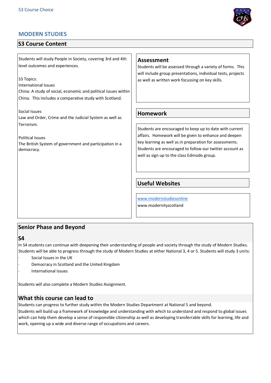# **MODERN STUDIES**

# **S3 Course Content**

Students will study People in Society, covering 3rd and 4th level outcomes and experiences.

S3 Topics:

International Issues China: A study of social, economic and political issues within China. This includes a comparative study with Scotland.

Social Issues Law and Order, Crime and the Judicial System as well as Terrorism.

Political Issues The British System of government and participation in a democracy.

#### **Assessment**

Students will be assessed through a variety of forms. This will include group presentations, individual tests, projects as well as written work focussing on key skills.

## **Homework**

Students are encouraged to keep up to date with current affairs. Homework will be given to enhance and deepen key learning as well as in preparation for assessments. Students are encouraged to follow our twitter account as well as sign up to the class Edmodo group.

# **Useful Websites**

[www.modernstudiesonline](http://www.modernstudiesonline/) www.modernityscotland

## **Senior Phase and Beyond**

**S4** 

In S4 students can continue with deepening their understanding of people and society through the study of Modern Studies. Students will be able to progress through the study of Modern Studies at either National 3, 4 or 5. Students will study 3 units:

- Social Issues in the UK
- Democracy in Scotland and the United Kingdom
- · International Issues

Students will also complete a Modern Studies Assignment.

# **What this course can lead to**

Students can progress to further study within the Modern Studies Department at National 5 and beyond.

Students will build up a framework of knowledge and understanding with which to understand and respond to global issues which can help them develop a sense of responsible citizenship as well as developing transferrable skills for learning, life and work, opening up a wide and diverse range of occupations and careers.

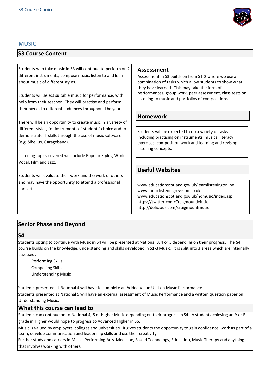

## **MUSIC**

# **S3 Course Content**

Students who take music in S3 will continue to perform on 2 different instruments, compose music, listen to and learn about music of different styles.

Students will select suitable music for performance, with help from their teacher. They will practise and perform their pieces to different audiences throughout the year.

There will be an opportunity to create music in a variety of different styles, for instruments of students' choice and to demonstrate IT skills through the use of music software (e.g. Sibelius, Garageband).

Listening topics covered will include Popular Styles, World, Vocal, Film and Jazz.

Students will evaluate their work and the work of others and may have the opportunity to attend a professional concert.

## **Assessment**

Assessment in S3 builds on from S1-2 where we use a combination of tasks which allow students to show what they have learned. This may take the form of performances, group work, peer assessment, class tests on listening to music and portfolios of compositions.

## **Homework**

Students will be expected to do a variety of tasks including practising on instruments, musical literacy exercises, composition work and learning and revising listening concepts.

# **Useful Websites**

www.educationscotland.gov.uk/learnlisteningonline www.musiclisteningrevision.co.uk www.educationscotland.gov.uk/nqmusic/index.asp https://twitter.com/CraigmountMusic http://delicious.com/craigmountmusic

# **Senior Phase and Beyond**

#### **S4**

Students opting to continue with Music in S4 will be presented at National 3, 4 or 5 depending on their progress. The S4 course builds on the knowledge, understanding and skills developed in S1-3 Music. It is split into 3 areas which are internally assessed:

- Performing Skills
- Composing Skills
- · Understanding Music

Students presented at National 4 will have to complete an Added Value Unit on Music Performance.

Students presented at National 5 will have an external assessment of Music Performance and a written question paper on Understanding Music.

## **What this course can lead to**

Students can continue on to National 4, 5 or Higher Music depending on their progress in S4. A student achieving an A or B grade in Higher would hope to progress to Advanced Higher in S6.

Music is valued by employers, colleges and universities. It gives students the opportunity to gain confidence, work as part of a team, develop communication and leadership skills and use their creativity.

Further study and careers in Music, Performing Arts, Medicine, Sound Technology, Education, Music Therapy and anything that involves working with others.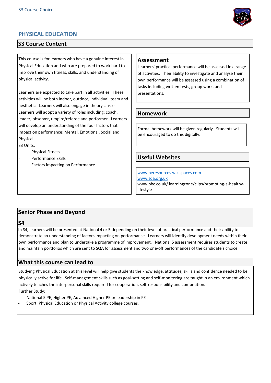

# **PHYSICAL EDUCATION**

## **S3 Course Content**

This course is for learners who have a genuine interest in Physical Education and who are prepared to work hard to improve their own fitness, skills, and understanding of physical activity.

Learners are expected to take part in all activities. These activities will be both indoor, outdoor, individual, team and aesthetic. Learners will also engage in theory classes. Learners will adopt a variety of roles including: coach, leader, observer, umpire/referee and performer. Learners will develop an understanding of the four factors that impact on performance: Mental, Emotional, Social and Physical.

S3 Units:

- Physical Fitness
- Performance Skills
- Factors impacting on Performance

## **Assessment**

Learners' practical performance will be assessed in a range of activities. Their ability to investigate and analyse their own performance will be assessed using a combination of tasks including written tests, group work, and presentations.

## **Homework**

Formal homework will be given regularly. Students will be encouraged to do this digitally.

## **Useful Websites**

[www.peresources.wikispaces.com](http://www.peresources.wikispaces.com/) [www.sqa.org.uk](http://www.sqa.org.uk/) www.bbc.co.uk/ learningzone/clips/promoting-a-healthylifestyle

# **Senior Phase and Beyond**

#### **S4**

In S4, learners will be presented at National 4 or 5 depending on their level of practical performance and their ability to demonstrate an understanding of factors impacting on performance. Learners will identify development needs within their own performance and plan to undertake a programme of improvement. National 5 assessment requires students to create and maintain portfolios which are sent to SQA for assessment and two one-off performances of the candidate's choice.

## **What this course can lead to**

Studying Physical Education at this level will help give students the knowledge, attitudes, skills and confidence needed to be physically active for life. Self-management skills such as goal-setting and self-monitoring are taught in an environment which actively teaches the interpersonal skills required for cooperation, self-responsibility and competition.

Further Study:

- National 5 PE, Higher PE, Advanced Higher PE or leadership in PE
- Sport, Physical Education or Physical Activity college courses.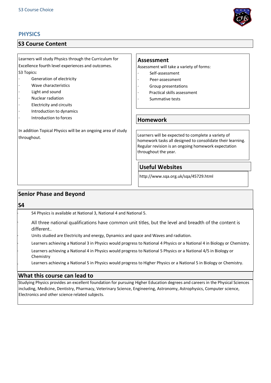## **PHYSICS**

## **S3 Course Content**

Learners will study Physics through the Curriculum for Excellence fourth level experiences and outcomes. S3 Topics:

- Generation of electricity
- · Wave characteristics
- Light and sound
- · Nuclear radiation
- Electricity and circuits
- · Introduction to dynamics
- Introduction to forces

In addition Topical Physics will be an ongoing area of study throughout.

#### **Assessment**

Assessment will take a variety of forms:

- · Self-assessment
- Peer-assessment
- · Group presentations
- Practical skills assessment
- Summative tests

#### **Homework**

Learners will be expected to complete a variety of homework tasks all designed to consolidate their learning. Regular revision is an ongoing homework expectation throughout the year.

## **Useful Websites**

http://www.sqa.org.uk/sqa/45729.html

## **Senior Phase and Beyond**

**S4** 

· S4 Physics is available at National 3, National 4 and National 5.

All three national qualifications have common unit titles, but the level and breadth of the content is different..

Units studied are Electricity and energy, Dynamics and space and Waves and radiation.

Learners achieving a National 3 in Physics would progress to National 4 Physics or a National 4 in Biology or Chemistry.

Learners achieving a National 4 in Physics would progress to National 5 Physics or a National 4/5 in Biology or Chemistry

. Learners achieving a National 5 in Physics would progress to Higher Physics or a National 5 in Biology or Chemistry.

#### **What this course can lead to**

Studying Physics provides an excellent foundation for pursuing Higher Education degrees and careers in the Physical Sciences including, Medicine, Dentistry, Pharmacy, Veterinary Science, Engineering, Astronomy, Astrophysics, Computer science, Electronics and other science related subjects.

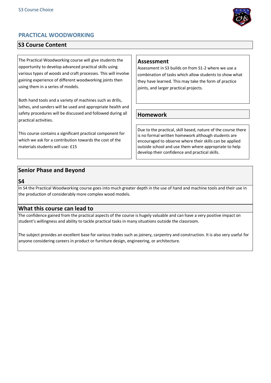

# **PRACTICAL WOODWORKING**

## **S3 Course Content**

The Practical Woodworking course will give students the opportunity to develop advanced practical skills using various types of woods and craft processes. This will involve gaining experience of different woodworking joints then using them in a series of models.

Both hand tools and a variety of machines such as drills, lathes, and sanders will be used and appropriate health and safety procedures will be discussed and followed during all practical activities.

This course contains a significant practical component for which we ask for a contribution towards the cost of the materials students will use: £15

## **Assessment**

Assessment in S3 builds on from S1-2 where we use a combination of tasks which allow students to show what they have learned. This may take the form of practice joints, and larger practical projects.

## **Homework**

Due to the practical, skill based, nature of the course there is no formal written homework although students are encouraged to observe where their skills can be applied outside school and use them where appropriate to help develop their confidence and practical skills.

## **Senior Phase and Beyond**

#### **S4**

In S4 the Practical Woodworking course goes into much greater depth in the use of hand and machine tools and their use in the production of considerably more complex wood models.

## **What this course can lead to**

The confidence gained from the practical aspects of the course is hugely valuable and can have a very positive impact on student's willingness and ability to tackle practical tasks in many situations outside the classroom.

The subject provides an excellent base for various trades such as joinery, carpentry and construction. It is also very useful for anyone considering careers in product or furniture design, engineering, or architecture.